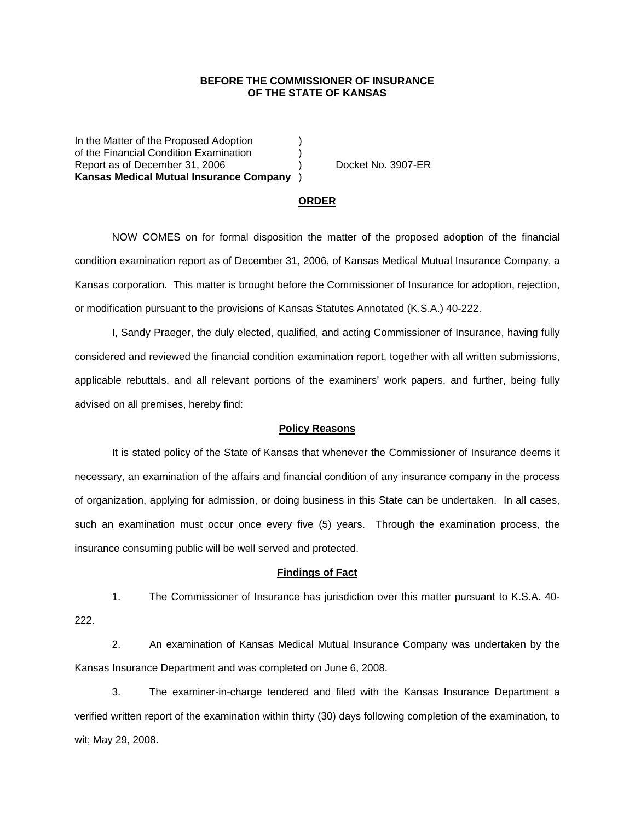## **BEFORE THE COMMISSIONER OF INSURANCE OF THE STATE OF KANSAS**

In the Matter of the Proposed Adoption of the Financial Condition Examination ) Report as of December 31, 2006 (a) Docket No. 3907-ER **Kansas Medical Mutual Insurance Company** )

#### **ORDER**

 NOW COMES on for formal disposition the matter of the proposed adoption of the financial condition examination report as of December 31, 2006, of Kansas Medical Mutual Insurance Company, a Kansas corporation. This matter is brought before the Commissioner of Insurance for adoption, rejection, or modification pursuant to the provisions of Kansas Statutes Annotated (K.S.A.) 40-222.

 I, Sandy Praeger, the duly elected, qualified, and acting Commissioner of Insurance, having fully considered and reviewed the financial condition examination report, together with all written submissions, applicable rebuttals, and all relevant portions of the examiners' work papers, and further, being fully advised on all premises, hereby find:

### **Policy Reasons**

 It is stated policy of the State of Kansas that whenever the Commissioner of Insurance deems it necessary, an examination of the affairs and financial condition of any insurance company in the process of organization, applying for admission, or doing business in this State can be undertaken. In all cases, such an examination must occur once every five (5) years. Through the examination process, the insurance consuming public will be well served and protected.

#### **Findings of Fact**

 1. The Commissioner of Insurance has jurisdiction over this matter pursuant to K.S.A. 40- 222.

 2. An examination of Kansas Medical Mutual Insurance Company was undertaken by the Kansas Insurance Department and was completed on June 6, 2008.

 3. The examiner-in-charge tendered and filed with the Kansas Insurance Department a verified written report of the examination within thirty (30) days following completion of the examination, to wit; May 29, 2008.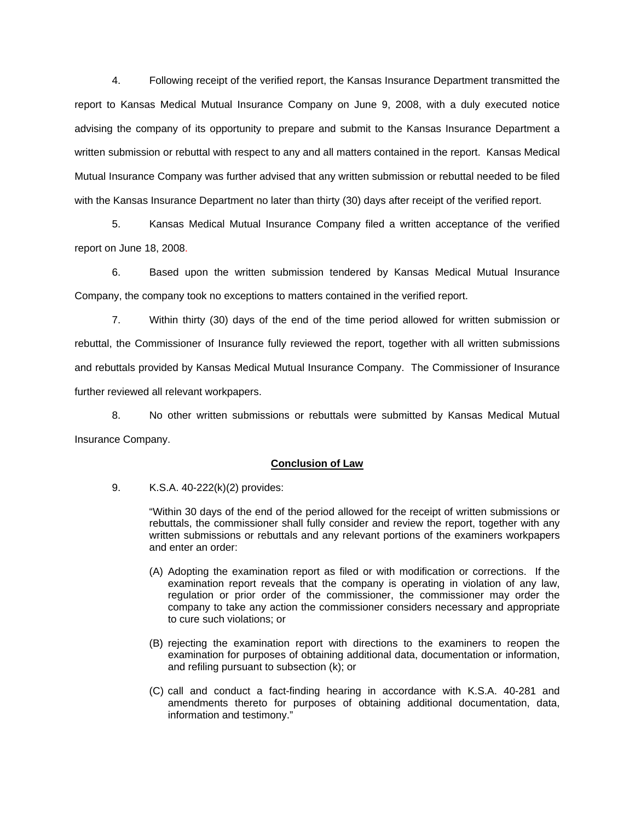4. Following receipt of the verified report, the Kansas Insurance Department transmitted the report to Kansas Medical Mutual Insurance Company on June 9, 2008, with a duly executed notice advising the company of its opportunity to prepare and submit to the Kansas Insurance Department a written submission or rebuttal with respect to any and all matters contained in the report. Kansas Medical Mutual Insurance Company was further advised that any written submission or rebuttal needed to be filed with the Kansas Insurance Department no later than thirty (30) days after receipt of the verified report.

 5. Kansas Medical Mutual Insurance Company filed a written acceptance of the verified report on June 18, 2008.

6. Based upon the written submission tendered by Kansas Medical Mutual Insurance Company, the company took no exceptions to matters contained in the verified report.

 7. Within thirty (30) days of the end of the time period allowed for written submission or rebuttal, the Commissioner of Insurance fully reviewed the report, together with all written submissions and rebuttals provided by Kansas Medical Mutual Insurance Company. The Commissioner of Insurance further reviewed all relevant workpapers.

 8. No other written submissions or rebuttals were submitted by Kansas Medical Mutual Insurance Company.

## **Conclusion of Law**

9. K.S.A. 40-222(k)(2) provides:

"Within 30 days of the end of the period allowed for the receipt of written submissions or rebuttals, the commissioner shall fully consider and review the report, together with any written submissions or rebuttals and any relevant portions of the examiners workpapers and enter an order:

- (A) Adopting the examination report as filed or with modification or corrections. If the examination report reveals that the company is operating in violation of any law, regulation or prior order of the commissioner, the commissioner may order the company to take any action the commissioner considers necessary and appropriate to cure such violations; or
- (B) rejecting the examination report with directions to the examiners to reopen the examination for purposes of obtaining additional data, documentation or information, and refiling pursuant to subsection (k); or
- (C) call and conduct a fact-finding hearing in accordance with K.S.A. 40-281 and amendments thereto for purposes of obtaining additional documentation, data, information and testimony."